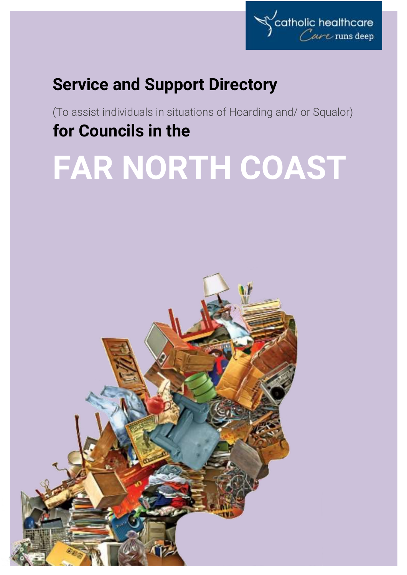

# **Service and Support Directory**

(To assist individuals in situations of Hoarding and/ or Squalor) **for Councils in the**

# **FAR NORTH COAST**

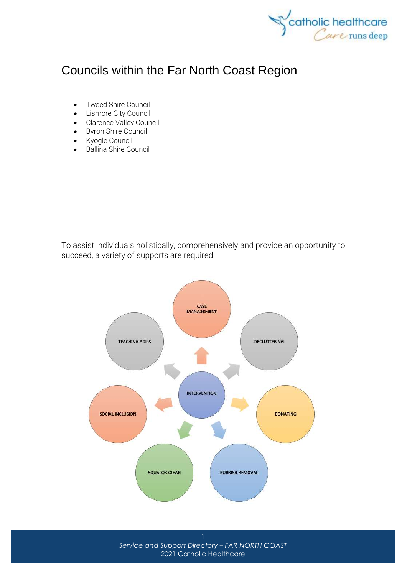

# Councils within the Far North Coast Region

- [Tweed Shire Council](http://www.tweed.nsw.gov.au/)
- [Lismore City Council](http://www.lismore.nsw.gov.au/)
- [Clarence Valley Council](http://www.clarence.nsw.gov.au/)
- [Byron Shire Council](http://www.byron.nsw.gov.au/)
- [Kyogle Council](http://www.kyogle.nsw.gov.au/)
- [Ballina Shire Council](http://www.ballina.nsw.gov.au/)

To assist individuals holistically, comprehensively and provide an opportunity to succeed, a variety of supports are required.



*Service and Support Directory – FAR NORTH COAST* 2021 Catholic Healthcare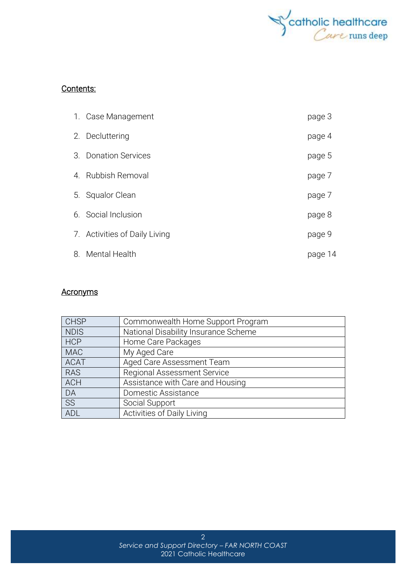

## Contents:

| 1. Case Management            | page 3  |
|-------------------------------|---------|
| 2. Decluttering               | page 4  |
| 3. Donation Services          | page 5  |
| 4. Rubbish Removal            | page 7  |
| 5. Squalor Clean              | page 7  |
| 6. Social Inclusion           | page 8  |
| 7. Activities of Daily Living | page 9  |
| 8. Mental Health              | page 14 |

### **Acronyms**

| <b>CHSP</b> | Commonwealth Home Support Program    |  |
|-------------|--------------------------------------|--|
| <b>NDIS</b> | National Disability Insurance Scheme |  |
| <b>HCP</b>  | Home Care Packages                   |  |
| <b>MAC</b>  | My Aged Care                         |  |
| <b>ACAT</b> | Aged Care Assessment Team            |  |
| <b>RAS</b>  | Regional Assessment Service          |  |
| <b>ACH</b>  | Assistance with Care and Housing     |  |
| DA          | Domestic Assistance                  |  |
| SS          | Social Support                       |  |
| <b>ADL</b>  | Activities of Daily Living           |  |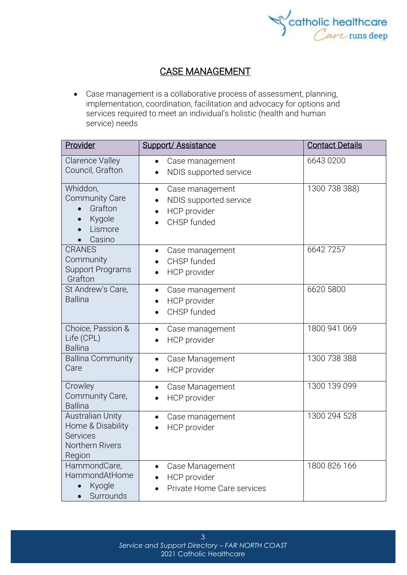

# CASE MANAGEMENT

• Case management is a collaborative process of assessment, planning, implementation, coordination, facilitation and advocacy for options and services required to meet an individual's holistic (health and human service) needs

| Provider                                                                                     | <b>Support/ Assistance</b>                                                            | <b>Contact Details</b> |
|----------------------------------------------------------------------------------------------|---------------------------------------------------------------------------------------|------------------------|
| <b>Clarence Valley</b><br>Council, Grafton                                                   | Case management<br>$\bullet$<br>NDIS supported service<br>$\bullet$                   | 6643 0200              |
| Whiddon,<br><b>Community Care</b><br>Grafton<br>Kygole<br>$\bullet$<br>Lismore<br>Casino     | Case management<br>$\bullet$<br>NDIS supported service<br>HCP provider<br>CHSP funded | 1300 738 388)          |
| <b>CRANES</b><br>Community<br><b>Support Programs</b><br>Grafton                             | Case management<br>$\bullet$<br>CHSP funded<br>HCP provider<br>$\bullet$              | 66427257               |
| St Andrew's Care,<br><b>Ballina</b>                                                          | Case management<br>$\bullet$<br>HCP provider<br>$\bullet$<br>CHSP funded              | 6620 5800              |
| Choice, Passion &<br>Life (CPL)<br><b>Ballina</b>                                            | Case management<br>٠<br>HCP provider                                                  | 1800 941 069           |
| <b>Ballina Community</b><br>Care                                                             | Case Management<br>$\bullet$<br>HCP provider<br>$\bullet$                             | 1300 738 388           |
| Crowley<br>Community Care,<br><b>Ballina</b>                                                 | Case Management<br>$\bullet$<br>HCP provider<br>$\bullet$                             | 1300 139 099           |
| <b>Australian Unity</b><br>Home & Disability<br><b>Services</b><br>Northern Rivers<br>Region | Case management<br>HCP provider                                                       | 1300 294 528           |
| HammondCare,<br>HammondAtHome<br>Kyogle<br>Surrounds                                         | Case Management<br>HCP provider<br>Private Home Care services                         | 1800 826 166           |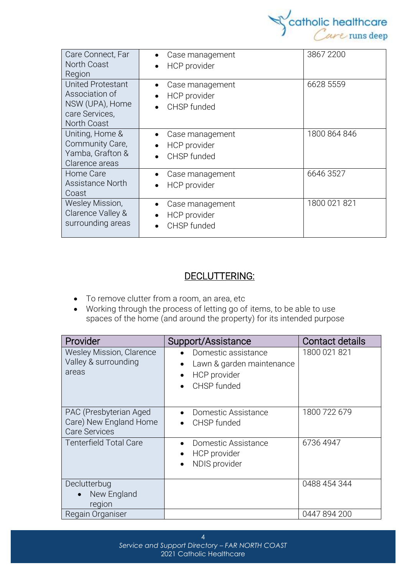

| Care Connect, Far<br>North Coast<br>Region                                                     | Case management<br>HCP provider                             | 3867 2200    |
|------------------------------------------------------------------------------------------------|-------------------------------------------------------------|--------------|
| <b>United Protestant</b><br>Association of<br>NSW (UPA), Home<br>care Services,<br>North Coast | Case management<br>٠<br>HCP provider<br>CHSP funded         | 6628 5559    |
| Uniting, Home &<br>Community Care,<br>Yamba, Grafton &<br>Clarence areas                       | Case management<br>$\bullet$<br>HCP provider<br>CHSP funded | 1800 864 846 |
| Home Care<br>Assistance North<br>Coast                                                         | Case management<br><b>HCP</b> provider                      | 6646 3527    |
| Wesley Mission,<br>Clarence Valley &<br>surrounding areas                                      | Case management<br>HCP provider<br>$\bullet$<br>CHSP funded | 1800 021 821 |

# DECLUTTERING:

- To remove clutter from a room, an area, etc
- Working through the process of letting go of items, to be able to use spaces of the home (and around the property) for its intended purpose

| Provider                                                                 | Support/Assistance                                                              | Contact details |
|--------------------------------------------------------------------------|---------------------------------------------------------------------------------|-----------------|
| <b>Wesley Mission, Clarence</b><br>Valley & surrounding<br>areas         | Domestic assistance<br>Lawn & garden maintenance<br>HCP provider<br>CHSP funded | 1800 021 821    |
| PAC (Presbyterian Aged<br>Care) New England Home<br><b>Care Services</b> | Domestic Assistance<br>CHSP funded                                              | 1800 722 679    |
| <b>Tenterfield Total Care</b>                                            | Domestic Assistance<br>HCP provider<br>NDIS provider                            | 6736 4947       |
| Declutterbug<br>New England<br>region                                    |                                                                                 | 0488 454 344    |
| Regain Organiser                                                         |                                                                                 | 0447 894 200    |

4 *Service and Support Directory – FAR NORTH COAST* 2021 Catholic Healthcare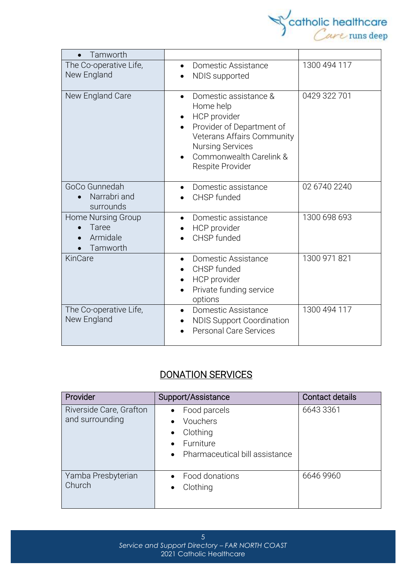

| Tamworth                                            |                                                                                                                                                                                                                   |              |
|-----------------------------------------------------|-------------------------------------------------------------------------------------------------------------------------------------------------------------------------------------------------------------------|--------------|
| The Co-operative Life,<br>New England               | Domestic Assistance<br>NDIS supported                                                                                                                                                                             | 1300 494 117 |
| New England Care                                    | Domestic assistance &<br>$\bullet$<br>Home help<br>HCP provider<br>Provider of Department of<br>$\bullet$<br>Veterans Affairs Community<br><b>Nursing Services</b><br>Commonwealth Carelink &<br>Respite Provider | 0429 322 701 |
| GoCo Gunnedah<br>Narrabri and<br>surrounds          | Domestic assistance<br>CHSP funded                                                                                                                                                                                | 02 6740 2240 |
| Home Nursing Group<br>Taree<br>Armidale<br>Tamworth | Domestic assistance<br>$\bullet$<br>HCP provider<br>CHSP funded                                                                                                                                                   | 1300 698 693 |
| KinCare                                             | Domestic Assistance<br>CHSP funded<br>HCP provider<br>Private funding service<br>options                                                                                                                          | 1300 971 821 |
| The Co-operative Life,<br>New England               | Domestic Assistance<br>$\bullet$<br><b>NDIS Support Coordination</b><br><b>Personal Care Services</b>                                                                                                             | 1300 494 117 |

# DONATION SERVICES

| Provider                                   | Support/Assistance                                                                                                         | Contact details |
|--------------------------------------------|----------------------------------------------------------------------------------------------------------------------------|-----------------|
| Riverside Care, Grafton<br>and surrounding | Food parcels<br>Vouchers<br>$\bullet$<br>Clothing<br>$\bullet$<br>Furniture<br>Pharmaceutical bill assistance<br>$\bullet$ | 6643 3361       |
| Yamba Presbyterian<br>Church               | Food donations<br>Clothing                                                                                                 | 6646 9960       |

5 *Service and Support Directory – FAR NORTH COAST* 2021 Catholic Healthcare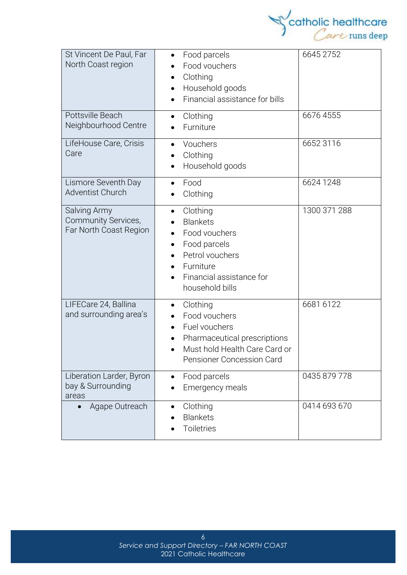

| St Vincent De Paul, Far<br>North Coast region                 | Food parcels<br>$\bullet$<br>Food vouchers<br>Clothing<br>Household goods<br>$\bullet$<br>Financial assistance for bills                                 | 6645 2752    |
|---------------------------------------------------------------|----------------------------------------------------------------------------------------------------------------------------------------------------------|--------------|
| Pottsville Beach<br>Neighbourhood Centre                      | Clothing<br>$\bullet$<br>Furniture                                                                                                                       | 6676 4555    |
| LifeHouse Care, Crisis<br>Care                                | Vouchers<br>Clothing<br>Household goods                                                                                                                  | 6652 3116    |
| Lismore Seventh Day<br><b>Adventist Church</b>                | Food<br>$\bullet$<br>Clothing                                                                                                                            | 6624 1248    |
| Salving Army<br>Community Services,<br>Far North Coast Region | Clothing<br>$\bullet$<br><b>Blankets</b><br>Food vouchers<br>Food parcels<br>Petrol vouchers<br>Furniture<br>Financial assistance for<br>household bills | 1300 371 288 |
| LIFECare 24, Ballina<br>and surrounding area's                | Clothing<br>$\bullet$<br>Food vouchers<br>Fuel vouchers<br>Pharmaceutical prescriptions<br>Must hold Health Care Card or<br>Pensioner Concession Card    | 6681 6122    |
| Liberation Larder, Byron<br>bay & Surrounding<br>areas        | Food parcels<br>Emergency meals                                                                                                                          | 0435 879 778 |
| Agape Outreach<br>$\bullet$                                   | Clothing<br><b>Blankets</b><br><b>Toiletries</b>                                                                                                         | 0414 693 670 |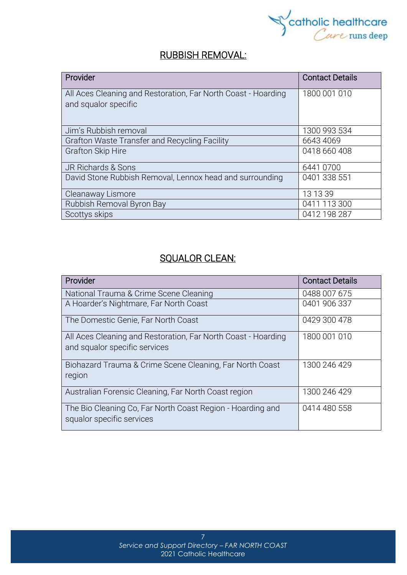

# RUBBISH REMOVAL:

| Provider                                                                              | <b>Contact Details</b> |
|---------------------------------------------------------------------------------------|------------------------|
| All Aces Cleaning and Restoration, Far North Coast - Hoarding<br>and squalor specific | 1800 001 010           |
| Jim's Rubbish removal                                                                 | 1300 993 534           |
| Grafton Waste Transfer and Recycling Facility                                         | 6643 4069              |
| <b>Grafton Skip Hire</b>                                                              | 0418 660 408           |
| JR Richards & Sons                                                                    | 6441 0700              |
| David Stone Rubbish Removal, Lennox head and surrounding                              | 0401 338 551           |
| Cleanaway Lismore                                                                     | 13 13 39               |
| Rubbish Removal Byron Bay                                                             | 0411 113 300           |
| Scottys skips                                                                         | 0412 198 287           |

# SQUALOR CLEAN:

| Provider                                                      | <b>Contact Details</b> |
|---------------------------------------------------------------|------------------------|
| National Trauma & Crime Scene Cleaning                        | 0488 007 675           |
| A Hoarder's Nightmare, Far North Coast                        | 0401 906 337           |
| The Domestic Genie, Far North Coast                           | 0429 300 478           |
| All Aces Cleaning and Restoration, Far North Coast - Hoarding | 1800 001 010           |
| and squalor specific services                                 |                        |
| Biohazard Trauma & Crime Scene Cleaning, Far North Coast      | 1300 246 429           |
| region                                                        |                        |
| Australian Forensic Cleaning, Far North Coast region          | 1300 246 429           |
| The Bio Cleaning Co, Far North Coast Region - Hoarding and    | 0414 480 558           |
| squalor specific services                                     |                        |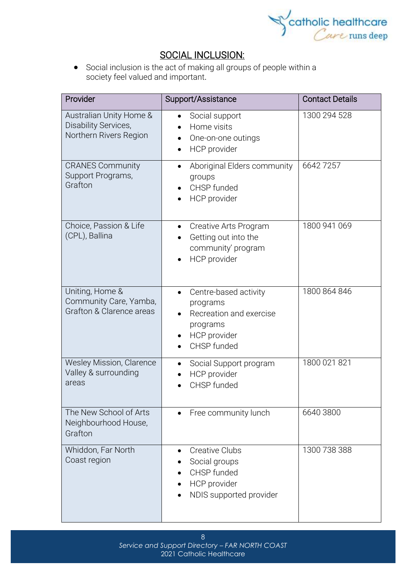

# SOCIAL INCLUSION:

• Social [inclusion](https://www.collinsdictionary.com/dictionary/english/inclusion) is the act of making all groups of people within a society [feel](https://www.collinsdictionary.com/dictionary/english/feel) valued and [important](https://www.collinsdictionary.com/dictionary/english/important).

| Provider                                                                  | Support/Assistance                                                                                                   | <b>Contact Details</b> |
|---------------------------------------------------------------------------|----------------------------------------------------------------------------------------------------------------------|------------------------|
| Australian Unity Home &<br>Disability Services,<br>Northern Rivers Region | Social support<br>$\bullet$<br>Home visits<br>One-on-one outings<br>HCP provider                                     | 1300 294 528           |
| <b>CRANES Community</b><br>Support Programs,<br>Grafton                   | Aboriginal Elders community<br>$\bullet$<br>groups<br>CHSP funded<br>HCP provider                                    | 66427257               |
| Choice, Passion & Life<br>(CPL), Ballina                                  | Creative Arts Program<br>$\bullet$<br>Getting out into the<br>community' program<br>HCP provider                     | 1800 941 069           |
| Uniting, Home &<br>Community Care, Yamba,<br>Grafton & Clarence areas     | Centre-based activity<br>$\bullet$<br>programs<br>Recreation and exercise<br>programs<br>HCP provider<br>CHSP funded | 1800 864 846           |
| Wesley Mission, Clarence<br>Valley & surrounding<br>areas                 | Social Support program<br>$\bullet$<br>HCP provider<br>CHSP funded                                                   | 1800 021 821           |
| The New School of Arts<br>Neighbourhood House,<br>Grafton                 | Free community lunch                                                                                                 | 6640 3800              |
| Whiddon, Far North<br>Coast region                                        | <b>Creative Clubs</b><br>$\bullet$<br>Social groups<br>CHSP funded<br>HCP provider<br>NDIS supported provider        | 1300 738 388           |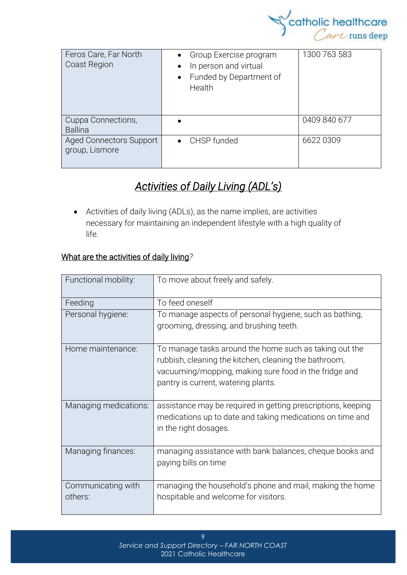

| Feros Care, Far North<br>Coast Region            | Group Exercise program<br>$\bullet$<br>In person and virtual<br>$\bullet$<br>Funded by Department of<br>$\bullet$<br>Health | 1300 763 583 |
|--------------------------------------------------|-----------------------------------------------------------------------------------------------------------------------------|--------------|
| Cuppa Connections,<br><b>Ballina</b>             |                                                                                                                             | 0409 840 677 |
| <b>Aged Connectors Support</b><br>group, Lismore | CHSP funded<br>$\bullet$                                                                                                    | 6622 0309    |

# *Activities of Daily Living (ADL's)*

• Activities of daily living (ADLs), as the name implies, are activities necessary for maintaining an independent lifestyle with a high quality of life.

# What are the activities of daily living*?*

| Functional mobility:  | To move about freely and safely.                             |  |
|-----------------------|--------------------------------------------------------------|--|
|                       |                                                              |  |
| Feeding               | To feed oneself                                              |  |
| Personal hygiene:     | To manage aspects of personal hygiene, such as bathing,      |  |
|                       | grooming, dressing, and brushing teeth.                      |  |
|                       |                                                              |  |
| Home maintenance:     | To manage tasks around the home such as taking out the       |  |
|                       | rubbish, cleaning the kitchen, cleaning the bathroom,        |  |
|                       | vacuuming/mopping, making sure food in the fridge and        |  |
|                       | pantry is current, watering plants.                          |  |
|                       |                                                              |  |
| Managing medications: | assistance may be required in getting prescriptions, keeping |  |
|                       | medications up to date and taking medications on time and    |  |
|                       | in the right dosages.                                        |  |
|                       |                                                              |  |
| Managing finances:    | managing assistance with bank balances, cheque books and     |  |
|                       | paying bills on time                                         |  |
|                       |                                                              |  |
| Communicating with    | managing the household's phone and mail, making the home     |  |
| others:               | hospitable and welcome for visitors.                         |  |
|                       |                                                              |  |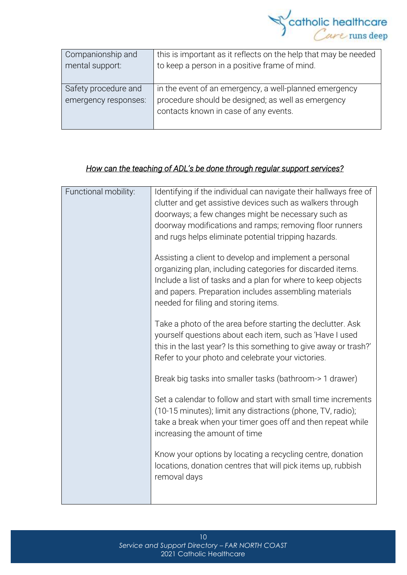

| Companionship and    | this is important as it reflects on the help that may be needed |  |
|----------------------|-----------------------------------------------------------------|--|
| mental support:      | to keep a person in a positive frame of mind.                   |  |
|                      |                                                                 |  |
| Safety procedure and | in the event of an emergency, a well-planned emergency          |  |
| emergency responses: | procedure should be designed; as well as emergency              |  |
|                      | contacts known in case of any events.                           |  |
|                      |                                                                 |  |

### *How can the teaching of ADL's be done through regular support services?*

| Functional mobility: | Identifying if the individual can navigate their hallways free of                                                                                                                                                                                                                     |  |
|----------------------|---------------------------------------------------------------------------------------------------------------------------------------------------------------------------------------------------------------------------------------------------------------------------------------|--|
|                      | clutter and get assistive devices such as walkers through                                                                                                                                                                                                                             |  |
|                      | doorways; a few changes might be necessary such as                                                                                                                                                                                                                                    |  |
|                      | doorway modifications and ramps; removing floor runners                                                                                                                                                                                                                               |  |
|                      | and rugs helps eliminate potential tripping hazards.                                                                                                                                                                                                                                  |  |
|                      | Assisting a client to develop and implement a personal<br>organizing plan, including categories for discarded items.<br>Include a list of tasks and a plan for where to keep objects<br>and papers. Preparation includes assembling materials<br>needed for filing and storing items. |  |
|                      | Take a photo of the area before starting the declutter. Ask<br>yourself questions about each item, such as 'Have I used<br>this in the last year? Is this something to give away or trash?'<br>Refer to your photo and celebrate your victories.                                      |  |
|                      | Break big tasks into smaller tasks (bathroom-> 1 drawer)                                                                                                                                                                                                                              |  |
|                      | Set a calendar to follow and start with small time increments<br>(10-15 minutes); limit any distractions (phone, TV, radio);<br>take a break when your timer goes off and then repeat while<br>increasing the amount of time                                                          |  |
|                      | Know your options by locating a recycling centre, donation<br>locations, donation centres that will pick items up, rubbish<br>removal days                                                                                                                                            |  |
|                      |                                                                                                                                                                                                                                                                                       |  |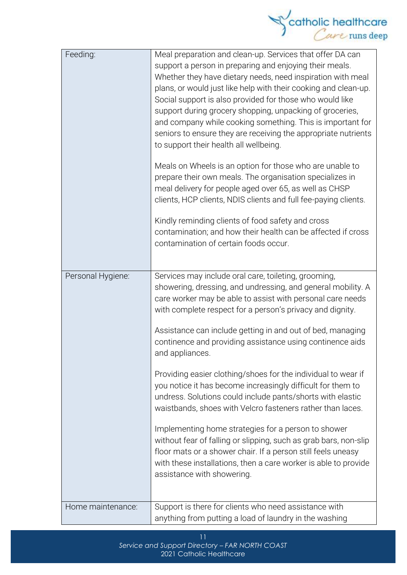

| Feeding:          | Meal preparation and clean-up. Services that offer DA can<br>support a person in preparing and enjoying their meals.<br>Whether they have dietary needs, need inspiration with meal<br>plans, or would just like help with their cooking and clean-up.<br>Social support is also provided for those who would like<br>support during grocery shopping, unpacking of groceries,<br>and company while cooking something. This is important for<br>seniors to ensure they are receiving the appropriate nutrients<br>to support their health all wellbeing.<br>Meals on Wheels is an option for those who are unable to<br>prepare their own meals. The organisation specializes in<br>meal delivery for people aged over 65, as well as CHSP<br>clients, HCP clients, NDIS clients and full fee-paying clients.<br>Kindly reminding clients of food safety and cross |
|-------------------|--------------------------------------------------------------------------------------------------------------------------------------------------------------------------------------------------------------------------------------------------------------------------------------------------------------------------------------------------------------------------------------------------------------------------------------------------------------------------------------------------------------------------------------------------------------------------------------------------------------------------------------------------------------------------------------------------------------------------------------------------------------------------------------------------------------------------------------------------------------------|
|                   | contamination; and how their health can be affected if cross<br>contamination of certain foods occur.                                                                                                                                                                                                                                                                                                                                                                                                                                                                                                                                                                                                                                                                                                                                                              |
| Personal Hygiene: | Services may include oral care, toileting, grooming,<br>showering, dressing, and undressing, and general mobility. A<br>care worker may be able to assist with personal care needs<br>with complete respect for a person's privacy and dignity.                                                                                                                                                                                                                                                                                                                                                                                                                                                                                                                                                                                                                    |
|                   | Assistance can include getting in and out of bed, managing<br>continence and providing assistance using continence aids<br>and appliances.                                                                                                                                                                                                                                                                                                                                                                                                                                                                                                                                                                                                                                                                                                                         |
|                   | Providing easier clothing/shoes for the individual to wear if<br>you notice it has become increasingly difficult for them to<br>undress. Solutions could include pants/shorts with elastic<br>waistbands, shoes with Velcro fasteners rather than laces.                                                                                                                                                                                                                                                                                                                                                                                                                                                                                                                                                                                                           |
|                   | Implementing home strategies for a person to shower<br>without fear of falling or slipping, such as grab bars, non-slip<br>floor mats or a shower chair. If a person still feels uneasy<br>with these installations, then a care worker is able to provide<br>assistance with showering.                                                                                                                                                                                                                                                                                                                                                                                                                                                                                                                                                                           |
| Home maintenance: | Support is there for clients who need assistance with<br>anything from putting a load of laundry in the washing                                                                                                                                                                                                                                                                                                                                                                                                                                                                                                                                                                                                                                                                                                                                                    |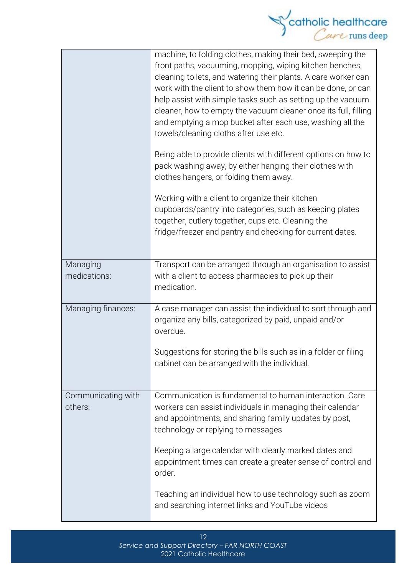

|                               | machine, to folding clothes, making their bed, sweeping the<br>front paths, vacuuming, mopping, wiping kitchen benches,<br>cleaning toilets, and watering their plants. A care worker can<br>work with the client to show them how it can be done, or can<br>help assist with simple tasks such as setting up the vacuum<br>cleaner, how to empty the vacuum cleaner once its full, filling<br>and emptying a mop bucket after each use, washing all the<br>towels/cleaning cloths after use etc.<br>Being able to provide clients with different options on how to<br>pack washing away, by either hanging their clothes with<br>clothes hangers, or folding them away.<br>Working with a client to organize their kitchen<br>cupboards/pantry into categories, such as keeping plates<br>together, cutlery together, cups etc. Cleaning the<br>fridge/freezer and pantry and checking for current dates. |
|-------------------------------|------------------------------------------------------------------------------------------------------------------------------------------------------------------------------------------------------------------------------------------------------------------------------------------------------------------------------------------------------------------------------------------------------------------------------------------------------------------------------------------------------------------------------------------------------------------------------------------------------------------------------------------------------------------------------------------------------------------------------------------------------------------------------------------------------------------------------------------------------------------------------------------------------------|
|                               |                                                                                                                                                                                                                                                                                                                                                                                                                                                                                                                                                                                                                                                                                                                                                                                                                                                                                                            |
| Managing<br>medications:      | Transport can be arranged through an organisation to assist<br>with a client to access pharmacies to pick up their<br>medication.                                                                                                                                                                                                                                                                                                                                                                                                                                                                                                                                                                                                                                                                                                                                                                          |
| Managing finances:            | A case manager can assist the individual to sort through and<br>organize any bills, categorized by paid, unpaid and/or<br>overdue.                                                                                                                                                                                                                                                                                                                                                                                                                                                                                                                                                                                                                                                                                                                                                                         |
|                               | Suggestions for storing the bills such as in a folder or filing<br>cabinet can be arranged with the individual.                                                                                                                                                                                                                                                                                                                                                                                                                                                                                                                                                                                                                                                                                                                                                                                            |
| Communicating with<br>others: | Communication is fundamental to human interaction. Care<br>workers can assist individuals in managing their calendar<br>and appointments, and sharing family updates by post,<br>technology or replying to messages                                                                                                                                                                                                                                                                                                                                                                                                                                                                                                                                                                                                                                                                                        |
|                               | Keeping a large calendar with clearly marked dates and<br>appointment times can create a greater sense of control and<br>order.                                                                                                                                                                                                                                                                                                                                                                                                                                                                                                                                                                                                                                                                                                                                                                            |
|                               | Teaching an individual how to use technology such as zoom<br>and searching internet links and YouTube videos                                                                                                                                                                                                                                                                                                                                                                                                                                                                                                                                                                                                                                                                                                                                                                                               |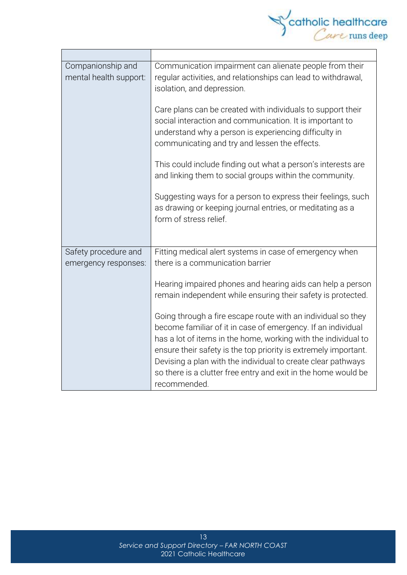

| Companionship and<br>mental health support: | Communication impairment can alienate people from their<br>regular activities, and relationships can lead to withdrawal,<br>isolation, and depression.                                                                                                                                                                                              |  |
|---------------------------------------------|-----------------------------------------------------------------------------------------------------------------------------------------------------------------------------------------------------------------------------------------------------------------------------------------------------------------------------------------------------|--|
|                                             | Care plans can be created with individuals to support their<br>social interaction and communication. It is important to<br>understand why a person is experiencing difficulty in<br>communicating and try and lessen the effects.                                                                                                                   |  |
|                                             | This could include finding out what a person's interests are<br>and linking them to social groups within the community.                                                                                                                                                                                                                             |  |
|                                             | Suggesting ways for a person to express their feelings, such<br>as drawing or keeping journal entries, or meditating as a<br>form of stress relief.                                                                                                                                                                                                 |  |
| Safety procedure and                        | Fitting medical alert systems in case of emergency when                                                                                                                                                                                                                                                                                             |  |
| emergency responses:                        | there is a communication barrier                                                                                                                                                                                                                                                                                                                    |  |
|                                             | Hearing impaired phones and hearing aids can help a person<br>remain independent while ensuring their safety is protected.<br>Going through a fire escape route with an individual so they                                                                                                                                                          |  |
|                                             | become familiar of it in case of emergency. If an individual<br>has a lot of items in the home, working with the individual to<br>ensure their safety is the top priority is extremely important.<br>Devising a plan with the individual to create clear pathways<br>so there is a clutter free entry and exit in the home would be<br>recommended. |  |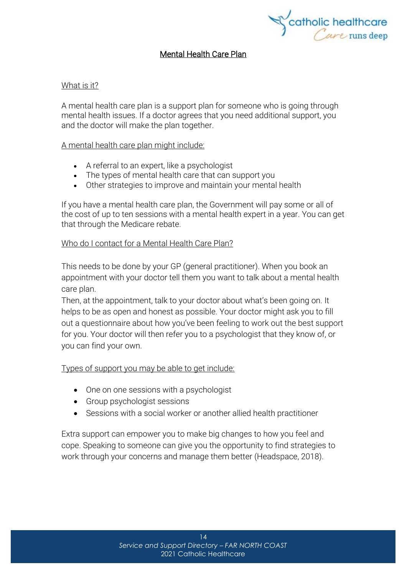

### Mental Health Care Plan

#### What is it?

A mental health care plan is a support plan for someone who is going through mental health issues. If a doctor agrees that you need additional support, you and the doctor will make the plan together.

#### A mental health care plan might include:

- A referral to an expert, like a psychologist
- The types of mental health care that can support you
- Other strategies to improve and maintain your mental health

If you have a mental health care plan, the Government will pay some or all of the cost of up to ten sessions with a mental health expert in a year. You can get that through the [Medicare](https://headspace.org.au/blog/how-to-get-a-medicare-card-old/) rebate.

#### Who do I contact for a Mental Health Care Plan?

This needs to be done by your GP (general practitioner). When you book an appointment with your doctor tell them you want to talk about a mental health care plan.

Then, at the appointment, talk to your doctor about what's been going on. It helps to be as open and honest as possible. Your doctor might ask you to fill out a questionnaire about how you've been feeling to work out the best support for you. Your doctor will then refer you to a psychologist that they know of, or you can find your own.

#### Types of support you may be able to get include:

- One on one sessions with a psychologist
- Group psychologist sessions
- Sessions with a social worker or another allied health practitioner

Extra support can empower you to make big changes to how you feel and cope. Speaking to someone can give you the opportunity to find strategies to work through your concerns and manage them better (Headspace, 2018).